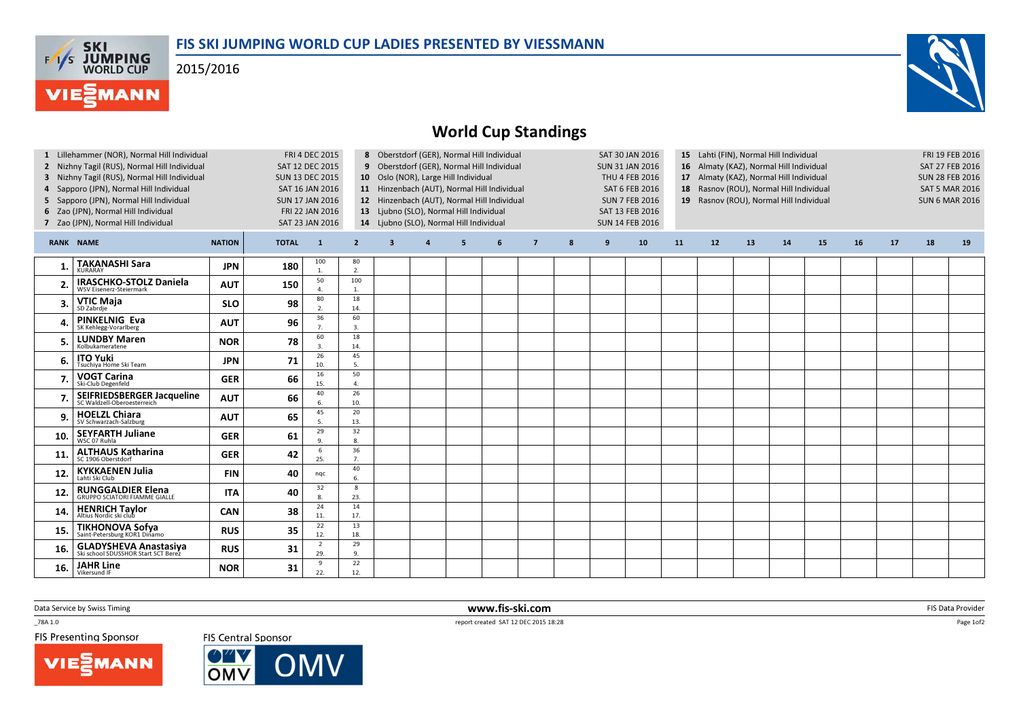

2015/2016

**FAS SKI<br>WORLD CUP** 

**MANN** 



## World Cup Standings

| 1 Lillehammer (NOR), Normal Hill Individual<br>2 Nizhny Tagil (RUS), Normal Hill Individual<br>3 Nizhny Tagil (RUS), Normal Hill Individual<br>4 Sapporo (JPN), Normal Hill Individual<br>5 Sapporo (JPN), Normal Hill Individual<br>6 Zao (JPN), Normal Hill Individual<br>7 Zao (JPN), Normal Hill Individual |                                                                     |               |              | FRI 4 DEC 2015<br>SAT 12 DEC 2015<br><b>SUN 13 DEC 2015</b><br>SAT 16 JAN 2016<br><b>SUN 17 JAN 2016</b><br>FRI 22 JAN 2016<br>SAT 23 JAN 2016 |                      |                         |                  | 8 Oberstdorf (GER), Normal Hill Individual<br>9 Oberstdorf (GER), Normal Hill Individual<br>10 Oslo (NOR), Large Hill Individual<br>11 Hinzenbach (AUT), Normal Hill Individual<br>12 Hinzenbach (AUT), Normal Hill Individual<br>13 Ljubno (SLO), Normal Hill Individual<br>14 Ljubno (SLO), Normal Hill Individual |   |                |   | SAT 30 JAN 2016<br><b>SUN 31 JAN 2016</b><br>THU 4 FEB 2016<br><b>SAT 6 FEB 2016</b><br><b>SUN 7 FEB 2016</b><br>SAT 13 FEB 2016<br><b>SUN 14 FEB 2016</b> |    |    | 15 Lahti (FIN), Normal Hill Individual<br>16 Almaty (KAZ), Normal Hill Individual<br>17 Almaty (KAZ), Normal Hill Individual<br>18 Rasnov (ROU), Normal Hill Individual<br>19 Rasnov (ROU), Normal Hill Individual |    |    |    |    |    | FRI 19 FEB 2016<br>SAT 27 FEB 2016<br><b>SUN 28 FEB 2016</b><br><b>SAT 5 MAR 2016</b><br><b>SUN 6 MAR 2016</b> |    |
|-----------------------------------------------------------------------------------------------------------------------------------------------------------------------------------------------------------------------------------------------------------------------------------------------------------------|---------------------------------------------------------------------|---------------|--------------|------------------------------------------------------------------------------------------------------------------------------------------------|----------------------|-------------------------|------------------|----------------------------------------------------------------------------------------------------------------------------------------------------------------------------------------------------------------------------------------------------------------------------------------------------------------------|---|----------------|---|------------------------------------------------------------------------------------------------------------------------------------------------------------|----|----|--------------------------------------------------------------------------------------------------------------------------------------------------------------------------------------------------------------------|----|----|----|----|----|----------------------------------------------------------------------------------------------------------------|----|
|                                                                                                                                                                                                                                                                                                                 | <b>RANK NAME</b>                                                    | <b>NATION</b> | <b>TOTAL</b> | $\mathbf{1}$                                                                                                                                   | $\overline{2}$       | $\overline{\mathbf{3}}$ | $\boldsymbol{a}$ | 5                                                                                                                                                                                                                                                                                                                    | 6 | $\overline{7}$ | 8 | 9                                                                                                                                                          | 10 | 11 | 12                                                                                                                                                                                                                 | 13 | 14 | 15 | 16 | 17 | 18                                                                                                             | 19 |
|                                                                                                                                                                                                                                                                                                                 | <b>TAKANASHI Sara</b><br><b>KURARAY</b>                             | <b>JPN</b>    | 180          | 100<br>1.                                                                                                                                      | 80<br>2.             |                         |                  |                                                                                                                                                                                                                                                                                                                      |   |                |   |                                                                                                                                                            |    |    |                                                                                                                                                                                                                    |    |    |    |    |    |                                                                                                                |    |
|                                                                                                                                                                                                                                                                                                                 | <b>IRASCHKO-STOLZ Daniela</b><br><b>WSV Eisenerz-Steiermark</b>     | <b>AUT</b>    | 150          | 50                                                                                                                                             | 100<br>1.            |                         |                  |                                                                                                                                                                                                                                                                                                                      |   |                |   |                                                                                                                                                            |    |    |                                                                                                                                                                                                                    |    |    |    |    |    |                                                                                                                |    |
| З.                                                                                                                                                                                                                                                                                                              | <b>VTIC Maja</b><br>SD Zabrdie                                      | <b>SLO</b>    | 98           | 80                                                                                                                                             | 18<br>14.            |                         |                  |                                                                                                                                                                                                                                                                                                                      |   |                |   |                                                                                                                                                            |    |    |                                                                                                                                                                                                                    |    |    |    |    |    |                                                                                                                |    |
|                                                                                                                                                                                                                                                                                                                 | <b>PINKELNIG Eva</b><br>SK Kehlegg-Vorarlberg                       | <b>AUT</b>    | 96           | 36                                                                                                                                             | 60<br>$\overline{3}$ |                         |                  |                                                                                                                                                                                                                                                                                                                      |   |                |   |                                                                                                                                                            |    |    |                                                                                                                                                                                                                    |    |    |    |    |    |                                                                                                                |    |
| 5                                                                                                                                                                                                                                                                                                               | <b>LUNDBY Maren</b><br>Kolbukameratene                              | <b>NOR</b>    | 78           | 60                                                                                                                                             | 18<br>14.            |                         |                  |                                                                                                                                                                                                                                                                                                                      |   |                |   |                                                                                                                                                            |    |    |                                                                                                                                                                                                                    |    |    |    |    |    |                                                                                                                |    |
| 6.                                                                                                                                                                                                                                                                                                              | <b>ITO Yuki</b><br>Tsuchiva Home Ski Team                           | <b>JPN</b>    | 71           | 26<br>10.                                                                                                                                      | 45<br>5.             |                         |                  |                                                                                                                                                                                                                                                                                                                      |   |                |   |                                                                                                                                                            |    |    |                                                                                                                                                                                                                    |    |    |    |    |    |                                                                                                                |    |
|                                                                                                                                                                                                                                                                                                                 | <b>VOGT Carina</b><br>Ski-Club Degenfeld                            | <b>GER</b>    | 66           | 16<br>15.                                                                                                                                      | 50<br>$\Delta$       |                         |                  |                                                                                                                                                                                                                                                                                                                      |   |                |   |                                                                                                                                                            |    |    |                                                                                                                                                                                                                    |    |    |    |    |    |                                                                                                                |    |
|                                                                                                                                                                                                                                                                                                                 | <b>SEIFRIEDSBERGER Jacqueline</b><br>SC Waldzell-Oberoesterreich    | <b>AUT</b>    | 66           | 40<br>6.                                                                                                                                       | 26<br>10.            |                         |                  |                                                                                                                                                                                                                                                                                                                      |   |                |   |                                                                                                                                                            |    |    |                                                                                                                                                                                                                    |    |    |    |    |    |                                                                                                                |    |
| 9.                                                                                                                                                                                                                                                                                                              | <b>HOELZL Chiara</b><br>SV Schwarzach-Salzburg                      | <b>AUT</b>    | 65           | 45<br>5                                                                                                                                        | 20<br>13.            |                         |                  |                                                                                                                                                                                                                                                                                                                      |   |                |   |                                                                                                                                                            |    |    |                                                                                                                                                                                                                    |    |    |    |    |    |                                                                                                                |    |
| 10.                                                                                                                                                                                                                                                                                                             | <b>SEYFARTH Juliane</b><br>WSC 07 Ruhla                             | <b>GER</b>    | 61           | 29                                                                                                                                             | 32<br>$\mathbf{g}$   |                         |                  |                                                                                                                                                                                                                                                                                                                      |   |                |   |                                                                                                                                                            |    |    |                                                                                                                                                                                                                    |    |    |    |    |    |                                                                                                                |    |
| 11                                                                                                                                                                                                                                                                                                              | <b>ALTHAUS Katharina</b><br>SC 1906 Oberstdorf                      | <b>GER</b>    | 42           | 6<br>25.                                                                                                                                       | 36<br>$\overline{7}$ |                         |                  |                                                                                                                                                                                                                                                                                                                      |   |                |   |                                                                                                                                                            |    |    |                                                                                                                                                                                                                    |    |    |    |    |    |                                                                                                                |    |
| 12.                                                                                                                                                                                                                                                                                                             | <b>KYKKAENEN Julia</b><br>Lahti Ski Club                            | <b>FIN</b>    | 40           | nqc                                                                                                                                            | 40<br>6.             |                         |                  |                                                                                                                                                                                                                                                                                                                      |   |                |   |                                                                                                                                                            |    |    |                                                                                                                                                                                                                    |    |    |    |    |    |                                                                                                                |    |
| 12                                                                                                                                                                                                                                                                                                              | <b>RUNGGALDIER Elena</b><br><b>GRUPPO SCIATORI FIAMME GIALLE</b>    | <b>ITA</b>    | 40           | 32<br>8.                                                                                                                                       | 8<br>23.             |                         |                  |                                                                                                                                                                                                                                                                                                                      |   |                |   |                                                                                                                                                            |    |    |                                                                                                                                                                                                                    |    |    |    |    |    |                                                                                                                |    |
| 14.                                                                                                                                                                                                                                                                                                             | <b>HENRICH Taylor</b><br>Altius Nordic ski club                     | <b>CAN</b>    | 38           | 24<br>11.                                                                                                                                      | 14<br>17.            |                         |                  |                                                                                                                                                                                                                                                                                                                      |   |                |   |                                                                                                                                                            |    |    |                                                                                                                                                                                                                    |    |    |    |    |    |                                                                                                                |    |
| 15.                                                                                                                                                                                                                                                                                                             | TIKHONOVA Sofya<br>Saint-Petersburg KOR1 Dinamo                     | <b>RUS</b>    | 35           | 22<br>12.                                                                                                                                      | 13<br>18.            |                         |                  |                                                                                                                                                                                                                                                                                                                      |   |                |   |                                                                                                                                                            |    |    |                                                                                                                                                                                                                    |    |    |    |    |    |                                                                                                                |    |
| 16.                                                                                                                                                                                                                                                                                                             | <b>GLADYSHEVA Anastasiya</b><br>Ski school SDUSSHOR Start SCT Berez | <b>RUS</b>    | 31           | $\overline{2}$<br>29.                                                                                                                          | 29<br>9.             |                         |                  |                                                                                                                                                                                                                                                                                                                      |   |                |   |                                                                                                                                                            |    |    |                                                                                                                                                                                                                    |    |    |    |    |    |                                                                                                                |    |
| 16.                                                                                                                                                                                                                                                                                                             | <b>JAHR Line</b><br>Vikersund IF                                    | <b>NOR</b>    | 31           | -9<br>22.                                                                                                                                      | 22<br>12.            |                         |                  |                                                                                                                                                                                                                                                                                                                      |   |                |   |                                                                                                                                                            |    |    |                                                                                                                                                                                                                    |    |    |    |    |    |                                                                                                                |    |

Data Service by Swiss Timing

\_78A 1.0

**FIS Presenting Sponsor** 

**VIESMANN** 

**FIS Central Sponsor** 



 www.fis-ski.comreport created SAT 12 DEC 2015 18:28

m FIS Data Provider<br>Fisher Provider

Page 1of2